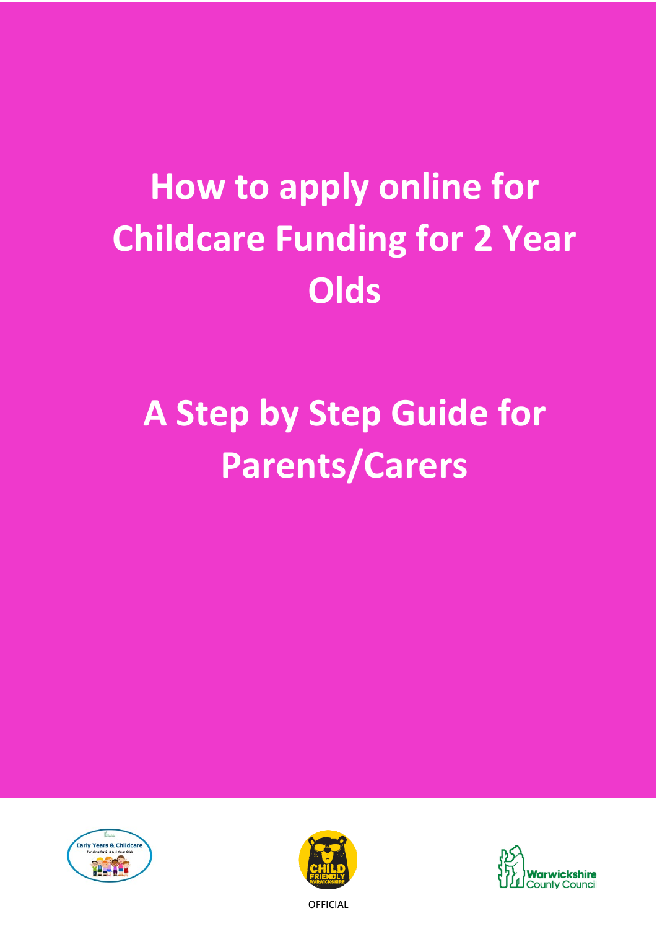# **How to apply for Childcare Childcare Funding for 2 Year Funding for 2 Year Olds Olds How to apply online for**

# A Step by Step Guide for **Parents/Carers**







**OFFICIAL**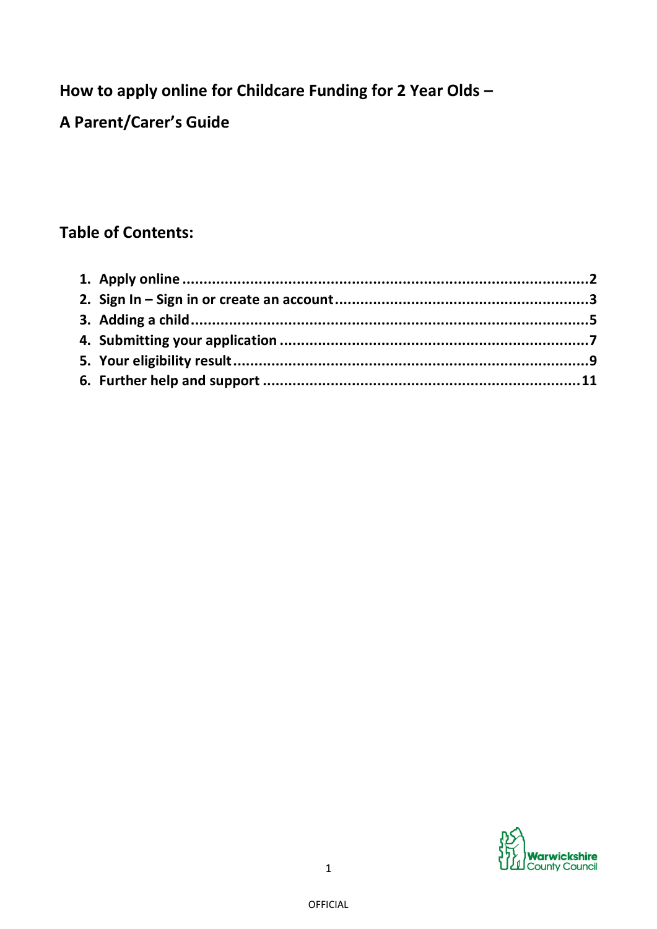**How to apply online for Childcare Funding for 2 Year Olds –**

**A Parent/Carer's Guide**

# **Table of Contents:**

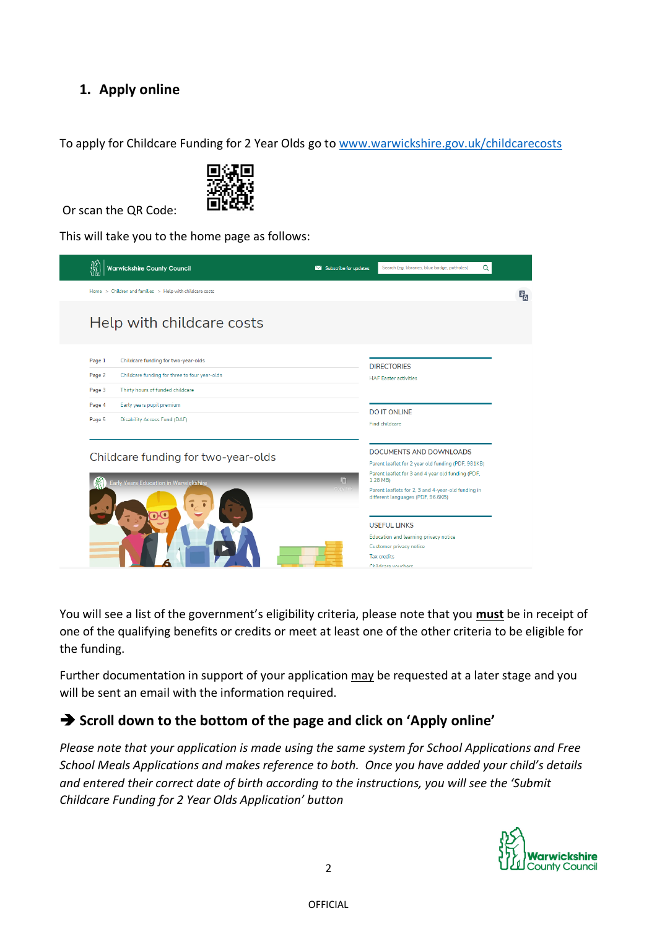# **1. Apply online**

To apply for Childcare Funding for 2 Year Olds go to [www.warwickshire.gov.uk/childcarecosts](http://www.warwickshire.gov.uk/childcarecosts)



Or scan the QR Code:

This will take you to the home page as follows:



You will see a list of the government's eligibility criteria, please note that you **must** be in receipt of one of the qualifying benefits or credits or meet at least one of the other criteria to be eligible for the funding.

Further documentation in support of your application may be requested at a later stage and you will be sent an email with the information required.

## ➔ **Scroll down to the bottom of the page and click on 'Apply online'**

*Please note that your application is made using the same system for School Applications and Free School Meals Applications and makes reference to both. Once you have added your child's details and entered their correct date of birth according to the instructions, you will see the 'Submit Childcare Funding for 2 Year Olds Application' button*

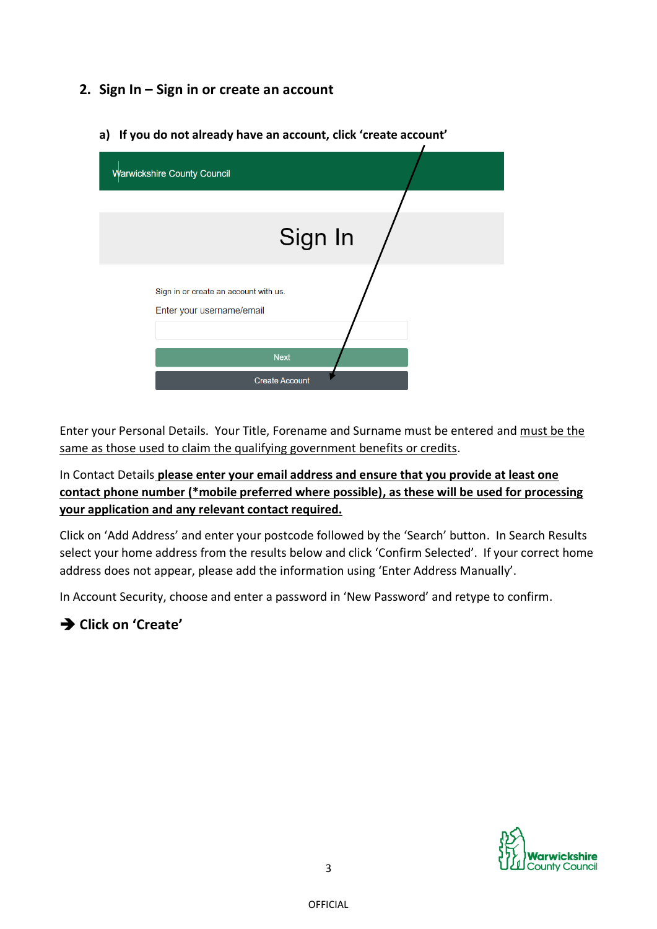### **2. Sign In – Sign in or create an account**

- Warwickshire County Council Sign In Sign in or create an account with us. Enter your username/email **Next** Create Account
- **a) If you do not already have an account, click 'create account'**

Enter your Personal Details. Your Title, Forename and Surname must be entered and must be the same as those used to claim the qualifying government benefits or credits.

In Contact Details **please enter your email address and ensure that you provide at least one contact phone number (\*mobile preferred where possible), as these will be used for processing your application and any relevant contact required.**

Click on 'Add Address' and enter your postcode followed by the 'Search' button. In Search Results select your home address from the results below and click 'Confirm Selected'. If your correct home address does not appear, please add the information using 'Enter Address Manually'.

In Account Security, choose and enter a password in 'New Password' and retype to confirm.

## ➔ **Click on 'Create'**

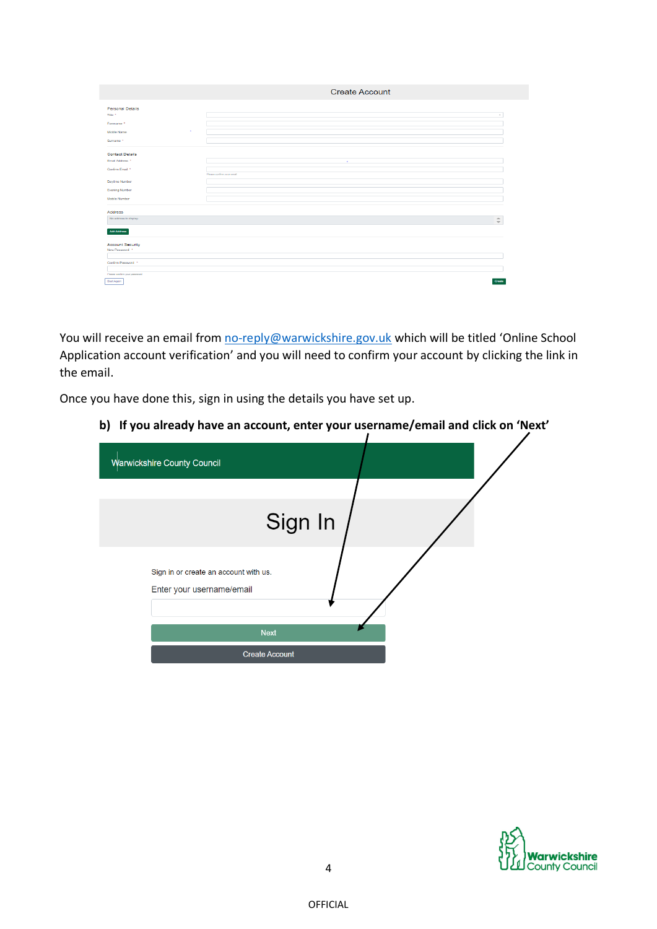|                                               | <b>Create Account</b>      |  |
|-----------------------------------------------|----------------------------|--|
| <b>Personal Details</b><br>Title <sup>*</sup> | $\alpha$                   |  |
| Forename *                                    |                            |  |
| $\mathbf{r}$<br>Middle Name                   |                            |  |
| Sumame *                                      |                            |  |
| <b>Contact Details</b>                        |                            |  |
| Email Address *                               | $\sim$                     |  |
| Confirm Email *                               | Please confirm your error! |  |
| Daytime Number                                |                            |  |
| <b>Evening Number</b><br>Mobile Number        |                            |  |
|                                               |                            |  |
| Address<br>No address to display.             | $\Delta$                   |  |
|                                               | $\overline{\phantom{a}}$   |  |
| Add Address                                   |                            |  |
| <b>Account Security</b><br>New Password *     |                            |  |
|                                               |                            |  |
| Confirm Password *                            |                            |  |
| Please confirm your password                  |                            |  |
| Start Again                                   | Create                     |  |

You will receive an email from [no-reply@warwickshire.gov.uk](mailto:no-reply@warwickshire.gov.uk) which will be titled 'Online School Application account verification' and you will need to confirm your account by clicking the link in the email.

Once you have done this, sign in using the details you have set up.

**b) If you already have an account, enter your username/email and click on 'Next'**

| <b>Warwickshire County Council</b>                                 |  |
|--------------------------------------------------------------------|--|
|                                                                    |  |
| Sign In                                                            |  |
| Sign in or create an account with us.<br>Enter your username/email |  |
| <b>Next</b>                                                        |  |
| <b>Create Account</b>                                              |  |

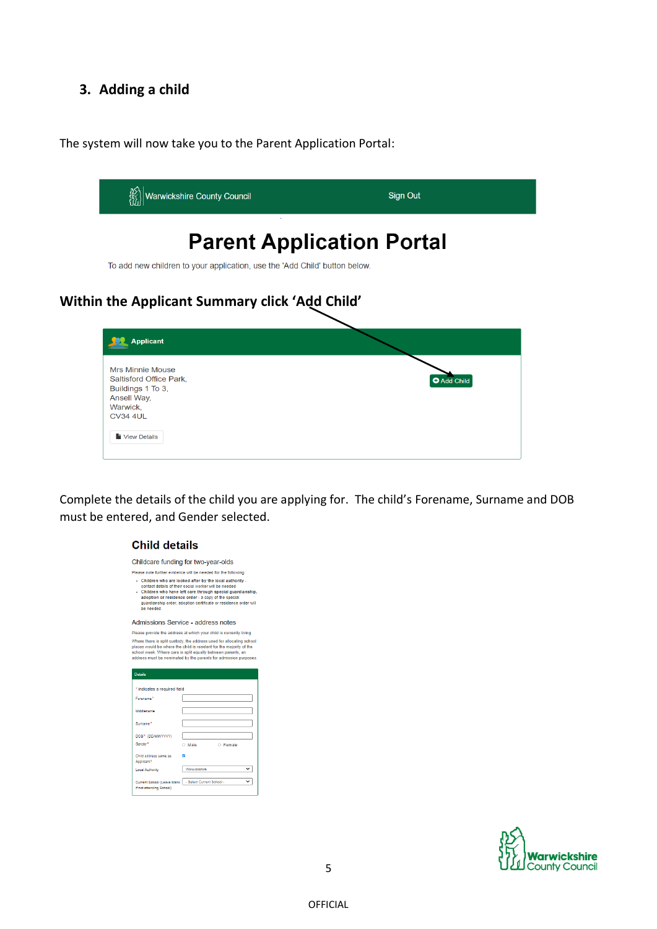### **3. Adding a child**

The system will now take you to the Parent Application Portal:



Complete the details of the child you are applying for. The child's Forename, Surname and DOB must be entered, and Gender selected.

#### **Child details**

Childcare funding for two-year-olds

Please note further evidence will be needed for the following Next the matter of the local attention<br>Contact of the specific conductivity -<br>Colidera who are looked after by the local authority -<br>Colidera who have left care through special guardianship,<br>adoption or residence order - a

Admissions Service - address notes

Please provide the address at which your child is currently living These there is split custody, the address used for allocating school<br>places would be where the child is resident for the majority of the<br>places would be where the child is resident for the majority of the<br>school week. Wher

| <b>Details</b>                                                                      |                           |  |  |
|-------------------------------------------------------------------------------------|---------------------------|--|--|
|                                                                                     |                           |  |  |
| * indicates a required field                                                        |                           |  |  |
| Forename <sup>*</sup>                                                               |                           |  |  |
| Middlename                                                                          |                           |  |  |
| Surname <sup>*</sup>                                                                |                           |  |  |
| DOB* (DD/MM/YYYY)                                                                   |                           |  |  |
| Gender <sup>*</sup>                                                                 | <b>C</b> Female<br>O Male |  |  |
| Child address same as<br>Applicant?                                                 |                           |  |  |
| <b>Local Authority</b>                                                              | Warwickshire              |  |  |
| Current School (Leave blank   - Select Current School -<br>if not attending School) |                           |  |  |

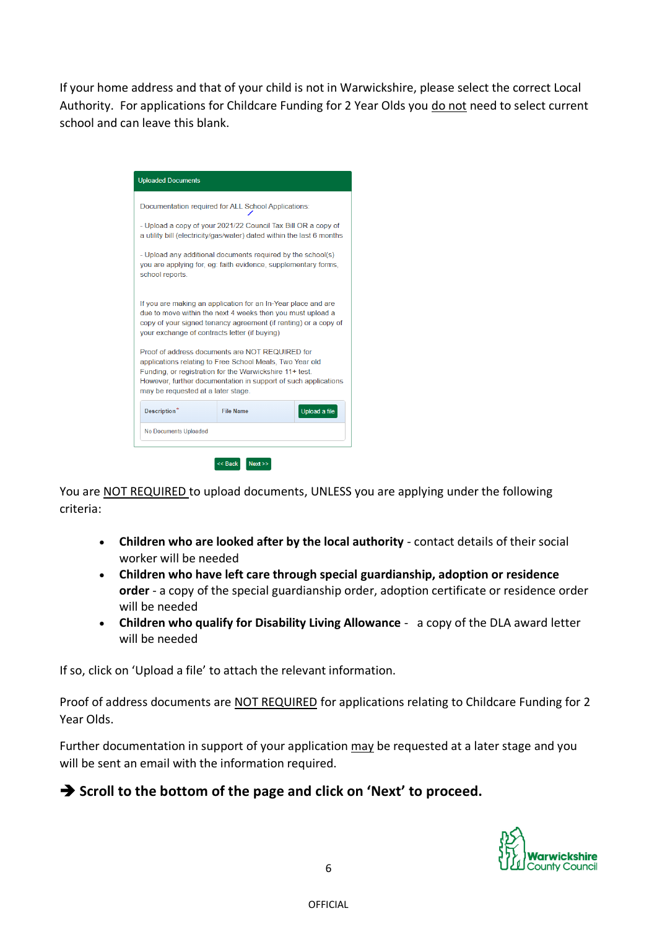If your home address and that of your child is not in Warwickshire, please select the correct Local Authority. For applications for Childcare Funding for 2 Year Olds you do not need to select current school and can leave this blank.

| <b>Uploaded Documents</b>                                                                                                                                                                                                                                                      |                  |               |  |  |
|--------------------------------------------------------------------------------------------------------------------------------------------------------------------------------------------------------------------------------------------------------------------------------|------------------|---------------|--|--|
| Documentation required for ALL School Applications:                                                                                                                                                                                                                            |                  |               |  |  |
| - Upload a copy of your 2021/22 Council Tax Bill OR a copy of<br>a utility bill (electricity/gas/water) dated within the last 6 months                                                                                                                                         |                  |               |  |  |
| - Upload any additional documents required by the school(s)<br>you are applying for, eg: faith evidence, supplementary forms,<br>school reports.                                                                                                                               |                  |               |  |  |
| If you are making an application for an In-Year place and are<br>due to move within the next 4 weeks then you must upload a<br>copy of your signed tenancy agreement (if renting) or a copy of<br>your exchange of contracts letter (if buying)                                |                  |               |  |  |
| Proof of address documents are NOT REQUIRED for<br>applications relating to Free School Meals, Two Year old<br>Funding, or registration for the Warwickshire 11+ test.<br>However, further documentation in support of such applications<br>may be requested at a later stage. |                  |               |  |  |
|                                                                                                                                                                                                                                                                                | <b>File Name</b> | Upload a file |  |  |
| Description*                                                                                                                                                                                                                                                                   |                  |               |  |  |

You are NOT REQUIRED to upload documents, UNLESS you are applying under the following criteria:

- **Children who are looked after by the local authority** contact details of their social worker will be needed
- **Children who have left care through special guardianship, adoption or residence order** - a copy of the special guardianship order, adoption certificate or residence order will be needed
- **Children who qualify for Disability Living Allowance**  a copy of the DLA award letter will be needed

If so, click on 'Upload a file' to attach the relevant information.

Proof of address documents are NOT REQUIRED for applications relating to Childcare Funding for 2 Year Olds.

Further documentation in support of your application may be requested at a later stage and you will be sent an email with the information required.

## ➔ **Scroll to the bottom of the page and click on 'Next' to proceed.**

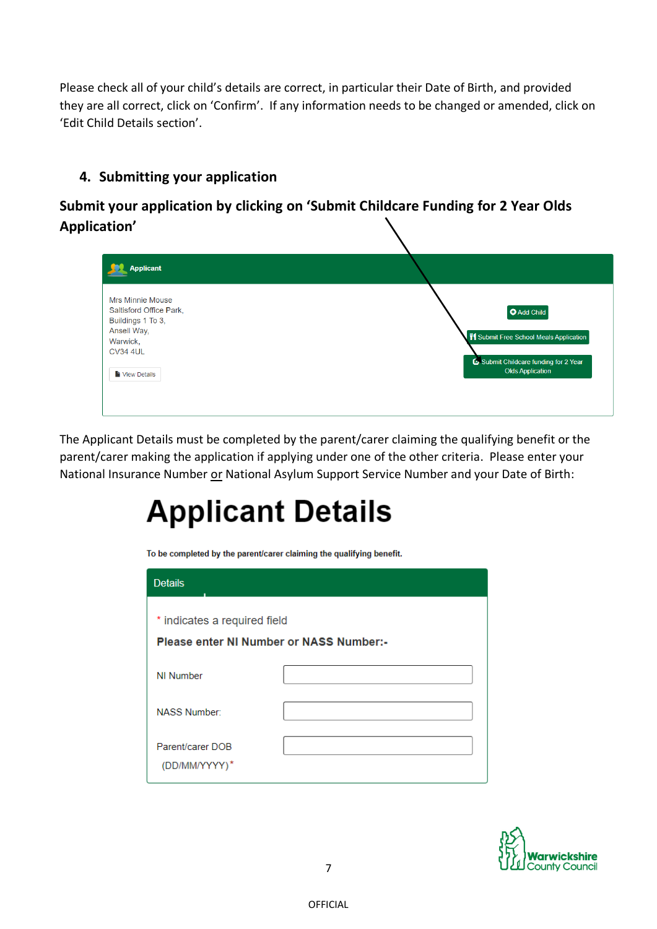Please check all of your child's details are correct, in particular their Date of Birth, and provided they are all correct, click on 'Confirm'. If any information needs to be changed or amended, click on 'Edit Child Details section'.

# **4. Submitting your application**

# **Submit your application by clicking on 'Submit Childcare Funding for 2 Year Olds Application'**

| <b>Applicant</b>                                                                                                                      |                                                                                                                                 |
|---------------------------------------------------------------------------------------------------------------------------------------|---------------------------------------------------------------------------------------------------------------------------------|
| <b>Mrs Minnie Mouse</b><br>Saltisford Office Park,<br>Buildings 1 To 3,<br>Ansell Way,<br>Warwick,<br><b>CV34 4UL</b><br>View Details | <b>O</b> Add Child<br>VI Submit Free School Meals Application<br>Submit Childcare funding for 2 Year<br><b>Olds Application</b> |

The Applicant Details must be completed by the parent/carer claiming the qualifying benefit or the parent/carer making the application if applying under one of the other criteria. Please enter your National Insurance Number or National Asylum Support Service Number and your Date of Birth:

# **Applicant Details**

To be completed by the parent/carer claiming the qualifying benefit.

| <b>Details</b>                                                                 |  |
|--------------------------------------------------------------------------------|--|
| * indicates a required field<br><b>Please enter NI Number or NASS Number:-</b> |  |
| NI Number                                                                      |  |
| <b>NASS Number:</b>                                                            |  |
| Parent/carer DOB<br>(DD/MM/YYYY)*                                              |  |

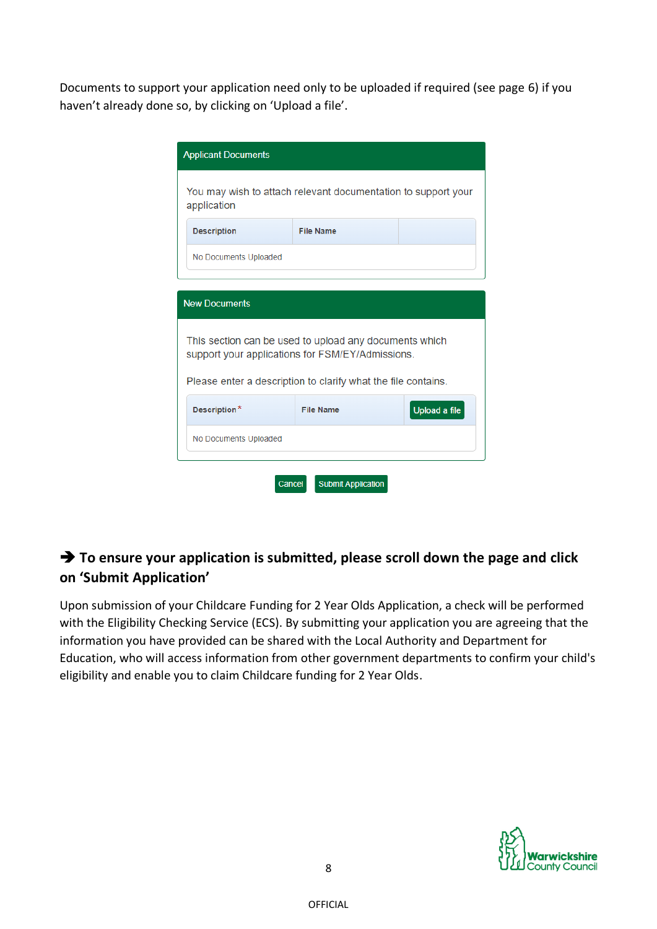Documents to support your application need only to be uploaded if required (see page 6) if you haven't already done so, by clicking on 'Upload a file'.

| <b>Applicant Documents</b>                                                                                 |                  |  |  |  |  |  |
|------------------------------------------------------------------------------------------------------------|------------------|--|--|--|--|--|
| You may wish to attach relevant documentation to support your<br>application                               |                  |  |  |  |  |  |
| <b>Description</b>                                                                                         | <b>File Name</b> |  |  |  |  |  |
| No Documents Uploaded                                                                                      |                  |  |  |  |  |  |
|                                                                                                            |                  |  |  |  |  |  |
| <b>New Documents</b>                                                                                       |                  |  |  |  |  |  |
| This section can be used to upload any documents which<br>support your applications for FSM/EY/Admissions. |                  |  |  |  |  |  |
| Please enter a description to clarify what the file contains.                                              |                  |  |  |  |  |  |
| Upload a file<br>Description*<br><b>File Name</b>                                                          |                  |  |  |  |  |  |
| No Documents Uploaded                                                                                      |                  |  |  |  |  |  |
| <b>Submit Application</b><br>Cancel                                                                        |                  |  |  |  |  |  |

# ➔ **To ensure your application is submitted, please scroll down the page and click on 'Submit Application'**

Upon submission of your Childcare Funding for 2 Year Olds Application, a check will be performed with the Eligibility Checking Service (ECS). By submitting your application you are agreeing that the information you have provided can be shared with the Local Authority and Department for Education, who will access information from other government departments to confirm your child's eligibility and enable you to claim Childcare funding for 2 Year Olds.

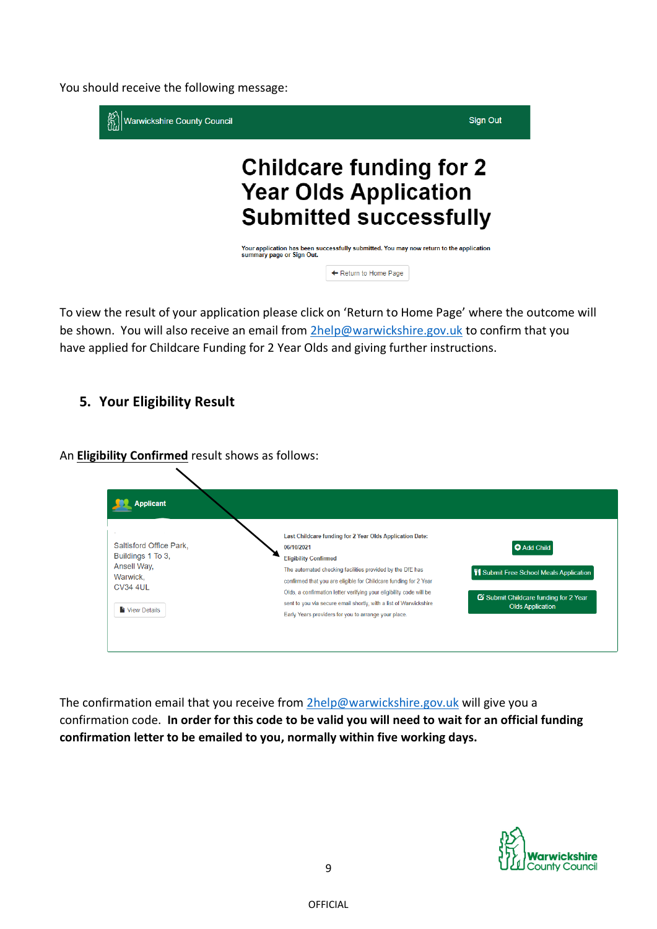You should receive the following message:



To view the result of your application please click on 'Return to Home Page' where the outcome will be shown. You will also receive an email from [2help@warwickshire.gov.uk](mailto:2help@warwickshire.gov.uk) to confirm that you have applied for Childcare Funding for 2 Year Olds and giving further instructions.

**5. Your Eligibility Result**

An **Eligibility Confirmed** result shows as follows:

| <b>Applicant</b>                                                                                           |                                                                                                                                                                                                                                                                                                                                                                                                                                             |                                                                                                                                       |
|------------------------------------------------------------------------------------------------------------|---------------------------------------------------------------------------------------------------------------------------------------------------------------------------------------------------------------------------------------------------------------------------------------------------------------------------------------------------------------------------------------------------------------------------------------------|---------------------------------------------------------------------------------------------------------------------------------------|
| Saltisford Office Park.<br>Buildings 1 To 3,<br>Ansell Way,<br>Warwick.<br><b>CV34 4UL</b><br>View Details | Last Childcare funding for 2 Year Olds Application Date:<br>06/10/2021<br><b>Eligibility Confirmed</b><br>The automated checking facilities provided by the DfE has<br>confirmed that you are eligible for Childcare funding for 2 Year<br>Olds, a confirmation letter verifying your eligibility code will be<br>sent to you via secure email shortly, with a list of Warwickshire<br>Early Years providers for you to arrange your place. | <b>O</b> Add Child<br><b>W</b> Submit Free School Meals Application<br>Submit Childcare funding for 2 Year<br><b>Olds Application</b> |

The confirmation email that you receive from  $2$ help@warwickshire.gov.uk will give you a confirmation code. **In order for this code to be valid you will need to wait for an official funding confirmation letter to be emailed to you, normally within five working days.**

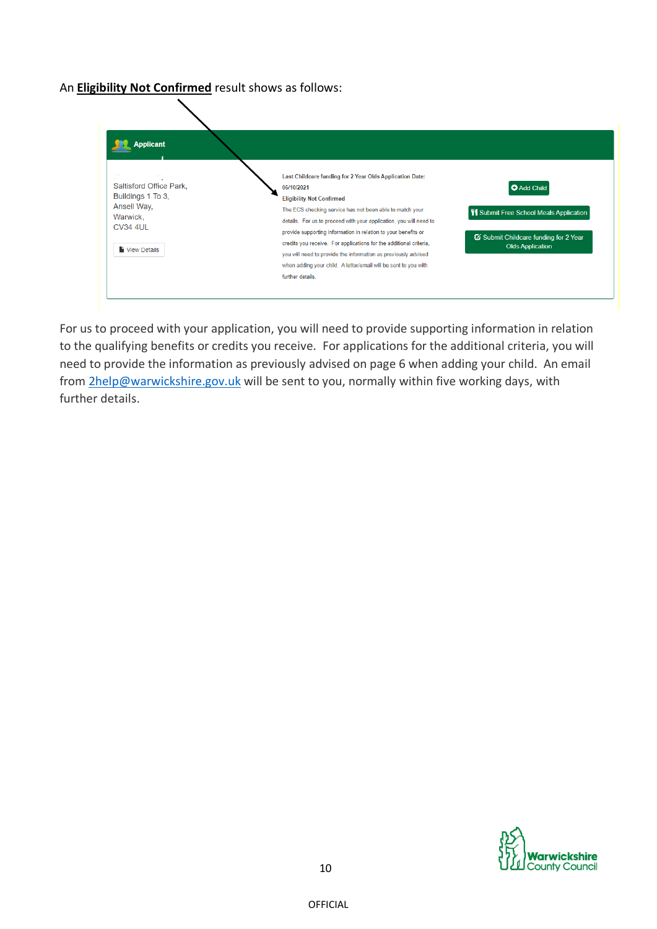### An **Eligibility Not Confirmed** result shows as follows:



For us to proceed with your application, you will need to provide supporting information in relation to the qualifying benefits or credits you receive. For applications for the additional criteria, you will need to provide the information as previously advised on page 6 when adding your child. An email from [2help@warwickshire.gov.uk](mailto:2help@warwickshire.gov.uk) will be sent to you, normally within five working days, with further details.

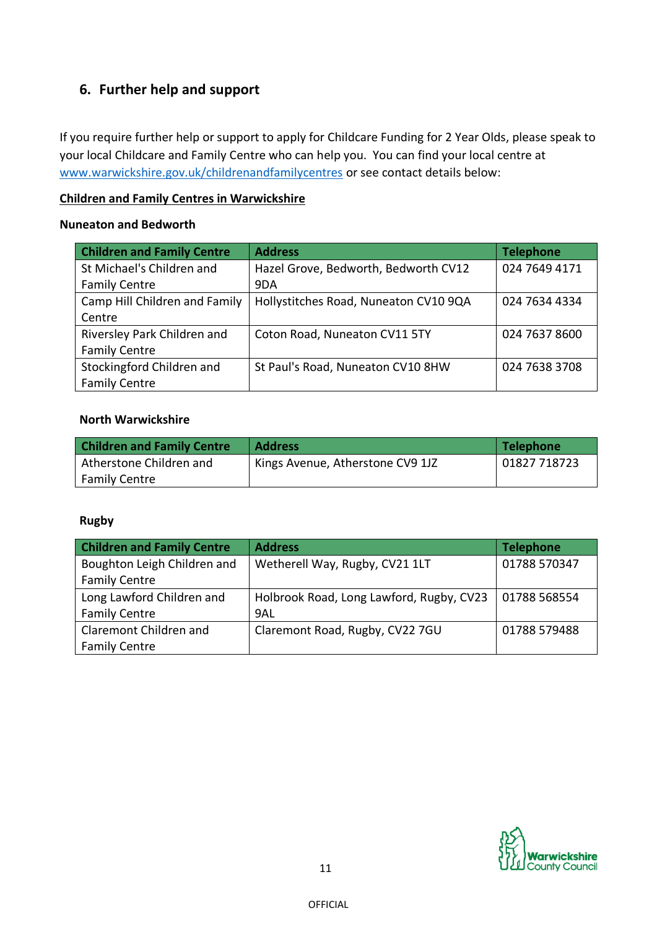## **6. Further help and support**

If you require further help or support to apply for Childcare Funding for 2 Year Olds, please speak to your local Childcare and Family Centre who can help you. You can find your local centre at [www.warwickshire.gov.uk/childrenandfamilycentres](http://www.warwickshire.gov.uk/childrenandfamilycentres) or see contact details below:

### **Children and Family Centres in Warwickshire**

### **Nuneaton and Bedworth**

| <b>Children and Family Centre</b> | <b>Address</b>                        | <b>Telephone</b> |
|-----------------------------------|---------------------------------------|------------------|
| St Michael's Children and         | Hazel Grove, Bedworth, Bedworth CV12  | 024 7649 4171    |
| <b>Family Centre</b>              | 9DA                                   |                  |
| Camp Hill Children and Family     | Hollystitches Road, Nuneaton CV10 9QA | 024 7634 4334    |
| Centre                            |                                       |                  |
| Riversley Park Children and       | Coton Road, Nuneaton CV11 5TY         | 024 7637 8600    |
| <b>Family Centre</b>              |                                       |                  |
| Stockingford Children and         | St Paul's Road, Nuneaton CV10 8HW     | 024 7638 3708    |
| <b>Family Centre</b>              |                                       |                  |

### **North Warwickshire**

| <b>Children and Family Centre</b> | <b>Address</b>                   | Telephone    |
|-----------------------------------|----------------------------------|--------------|
| Atherstone Children and           | Kings Avenue, Atherstone CV9 1JZ | 01827 718723 |
| <b>Family Centre</b>              |                                  |              |

### **Rugby**

| <b>Children and Family Centre</b> | <b>Address</b>                           | <b>Telephone</b> |
|-----------------------------------|------------------------------------------|------------------|
| Boughton Leigh Children and       | Wetherell Way, Rugby, CV21 1LT           | 01788 570347     |
| <b>Family Centre</b>              |                                          |                  |
| Long Lawford Children and         | Holbrook Road, Long Lawford, Rugby, CV23 | 01788 568554     |
| <b>Family Centre</b>              | 9AL                                      |                  |
| Claremont Children and            | Claremont Road, Rugby, CV22 7GU          | 01788 579488     |
| <b>Family Centre</b>              |                                          |                  |